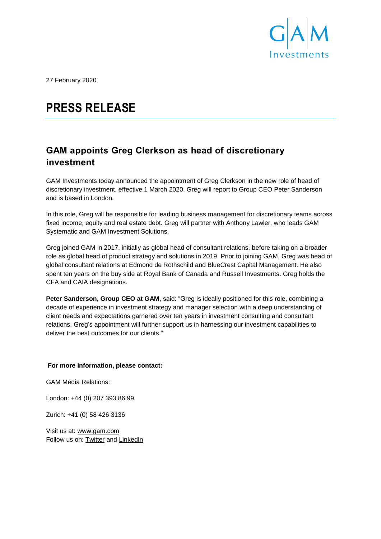

27 February 2020

# **PRESS RELEASE**

# **GAM appoints Greg Clerkson as head of discretionary investment**

GAM Investments today announced the appointment of Greg Clerkson in the new role of head of discretionary investment, effective 1 March 2020. Greg will report to Group CEO Peter Sanderson and is based in London.

In this role, Greg will be responsible for leading business management for discretionary teams across fixed income, equity and real estate debt. Greg will partner with Anthony Lawler, who leads GAM Systematic and GAM Investment Solutions.

Greg joined GAM in 2017, initially as global head of consultant relations, before taking on a broader role as global head of product strategy and solutions in 2019. Prior to joining GAM, Greg was head of global consultant relations at Edmond de Rothschild and BlueCrest Capital Management. He also spent ten years on the buy side at Royal Bank of Canada and Russell Investments. Greg holds the CFA and CAIA designations.

**Peter Sanderson, Group CEO at GAM**, said: "Greg is ideally positioned for this role, combining a decade of experience in investment strategy and manager selection with a deep understanding of client needs and expectations garnered over ten years in investment consulting and consultant relations. Greg's appointment will further support us in harnessing our investment capabilities to deliver the best outcomes for our clients."

## **For more information, please contact:**

GAM Media Relations:

London: +44 (0) 207 393 86 99

Zurich: +41 (0) 58 426 3136

Visit us at: [www.gam.com](http://www.gam.com/) Follow us on: [Twitter](https://twitter.com/gaminsights) and [LinkedIn](https://www.linkedin.com/company/gam?trk=company_logo)